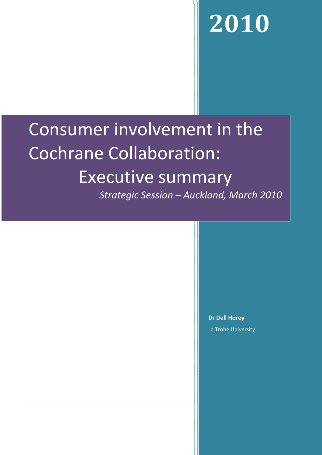# **2010**

## Consumer involvement in the Cochrane Collaboration: Executive summary

*Strategic Session – Auckland, March 2010*

**Dr Dell Horey** La Trobe University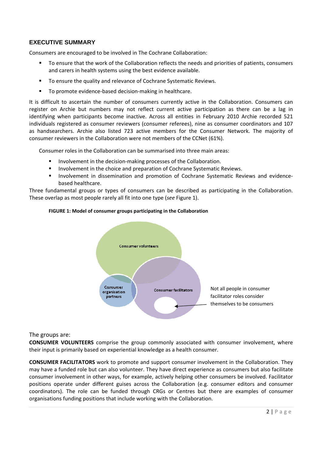### **EXECUTIVE SUMMARY**

Consumers are encouraged to be involved in The Cochrane Collaboration:

- To ensure that the work of the Collaboration reflects the needs and priorities of patients, consumers and carers in health systems using the best evidence available.
- To ensure the quality and relevance of Cochrane Systematic Reviews.
- To promote evidence‐based decision‐making in healthcare.

It is difficult to ascertain the number of consumers currently active in the Collaboration. Consumers can register on Archie but numbers may not reflect current active participation as there can be a lag in identifying when participants become inactive. Across all entities in February 2010 Archie recorded 521 individuals registered as consumer reviewers (consumer referees), nine as consumer coordinators and 107 as handsearchers. Archie also listed 723 active members for the Consumer Network. The majority of consumer reviewers in the Collaboration were not members of the CCNet (61%).

Consumer roles in the Collaboration can be summarised into three main areas:

- Involvement in the decision‐making processes of the Collaboration.
- Involvement in the choice and preparation of Cochrane Systematic Reviews.
- Involvement in dissemination and promotion of Cochrane Systematic Reviews and evidencebased healthcare.

Three fundamental groups or types of consumers can be described as participating in the Collaboration. These overlap as most people rarely all fit into one type (*see* Figure 1).



#### **FIGURE 1: Model of consumer groups participating in the Collaboration**

The groups are:

**CONSUMER VOLUNTEERS** comprise the group commonly associated with consumer involvement, where their input is primarily based on experiential knowledge as a health consumer.

**CONSUMER FACILITATORS** work to promote and support consumer involvement in the Collaboration. They may have a funded role but can also volunteer. They have direct experience as consumers but also facilitate consumer involvement in other ways, for example, actively helping other consumers be involved. Facilitator positions operate under different guises across the Collaboration (e.g. consumer editors and consumer coordinators). The role can be funded through CRGs or Centres but there are examples of consumer organisations funding positions that include working with the Collaboration.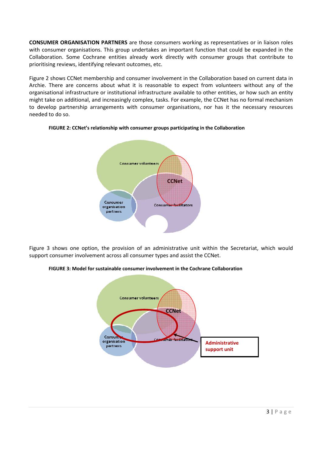**CONSUMER ORGANISATION PARTNERS** are those consumers working as representatives or in liaison roles with consumer organisations. This group undertakes an important function that could be expanded in the Collaboration. Some Cochrane entities already work directly with consumer groups that contribute to prioritising reviews, identifying relevant outcomes, etc.

Figure 2 shows CCNet membership and consumer involvement in the Collaboration based on current data in Archie. There are concerns about what it is reasonable to expect from volunteers without any of the organisational infrastructure or institutional infrastructure available to other entities, or how such an entity might take on additional, and increasingly complex, tasks. For example, the CCNet has no formal mechanism to develop partnership arrangements with consumer organisations, nor has it the necessary resources needed to do so.



#### **FIGURE 2: CCNet's relationship with consumer groups participating in the Collaboration**

Figure 3 shows one option, the provision of an administrative unit within the Secretariat, which would support consumer involvement across all consumer types and assist the CCNet.

#### **FIGURE 3: Model for sustainable consumer involvement in the Cochrane Collaboration**